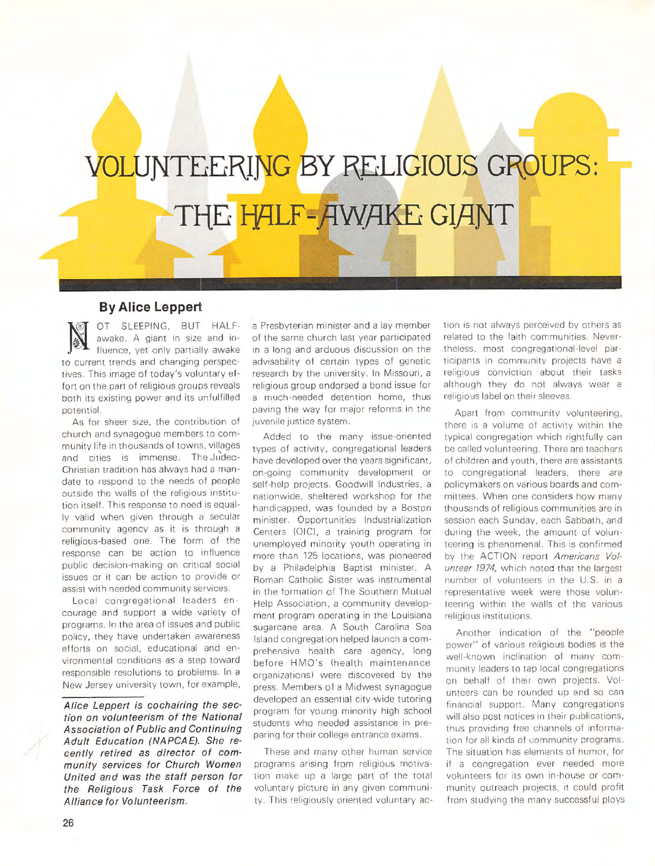## VOLUNTEERING BY RELIGIOUS GROUPS: THE HALF-AWAKE GIANT

## **By Alice Leppert**

OT SLEEPING, BUT HALFawake. A giant in size and influence, yet only partially awake to current trends and changing perspectives. This image of today's voluntary effort on the part of religious groups reveals both its existing power and its unfulfilled potential.

As for sheer size, the contribution of church and synagogue members to community life in thousands of towns, villages and cities is immense. The Judeo-Christian tradition has always had a mandate to respond to the needs of people outside the walls of the religious institution itself. This response to need is equally valid when given through a secular community agency as it is through a religious-based one. The form of the response can be action to influence public decision-making on critical social issues or it can be action to provide or assist with needed community services.

Local congregational leaders encourage and support a wide variety of programs. In the area of issues and public policy, they have undertaken awareness efforts on social, educational and environmental conditions as a step toward responsible resolutions to problems. In a New Jersey university town, for example,

**Alice** Leppert **is cochairing** the section on **volun teerism of** the **National**  Association of Public and **Continuing Adult Education (NAPCAE). She re**cently **retired as director of** community **services** for Church Women **United** and **was the staff person for**  the Religious Task Force of the Alliance for **Volunteerism.** 

a Presbyterian minister and a lay member of the same church last year participated in a long and arduous discussion on the advisability of certain types of genetic research by the university. In Missouri, a religious group endorsed a bond issue for a much-needed detention home, thus paving the way for major reforms in the juvenile justice system.

Added to the many issue-oriented types of activity, congregational leaders have developed over the years significant, on-going community development or self-help projects. Goodwill Industries, a nationwide, sheltered workshop for the handicapped, was founded by a Boston minister. Opportunities Industrialization Centers IOIC), a training program for unemployed minority youth operating in more than 125 locations, was pioneered by a Philadelphia Baptist minister. A Roman Catholic Sister was instrumental in the formation of The Southern Mutual Help Association, a community development program operating in the Louisiana sugarcane area. A South Carolina Sea Island congregation helped launch a comprehensive health care agency, long before HMO's (health maintenance organizations) were discovered by the press. Members of a Midwest synagogue developed an essential city-wide tutoring program for young minority high school students who needed assistance in preparing for their college entrance exams.

These and many other human service programs arising from religious motivation make up a large part of the total voluntary picture in any given community. This religiously oriented voluntary action is not always perceived by others as related to the faith communities. Nevertheless, most congregational-level participants in community projects have a religious conviction about their tasks although they do not always wear a religious label on their sleeves.

Apart from community volunteering, there is a volume of activity within the typical congregation which rightfully can be called volunteering. There are teachers of children and youth, there are assistants to congregational leaders, there are policymakers on various boards and committees. When one considers how many thousands of religious communities are in session each Sunday, each Sabbath, and during the week, the amount of volunteering is phenomenal. This is confirmed by the ACTION report Americans Volunteer 1974, which noted that the largest number of volunteers in the U.S. in a representative week were those volunteering within the walls of the various religious institutions.

Another indication of the "people power" of various religious bodies is the well-known inclination of many community leaders to tap local congregations on behalf of their own projects. Volunteers can be rounded up and so can financial support. Many congregations will also post notices in their publications, thus providing free channels of information for all kinds of community programs. The situation has elements of humor, for if a congregation ever needed more volunteers for its own in-house or community outreach projects, it could profit from studying the many successful ploys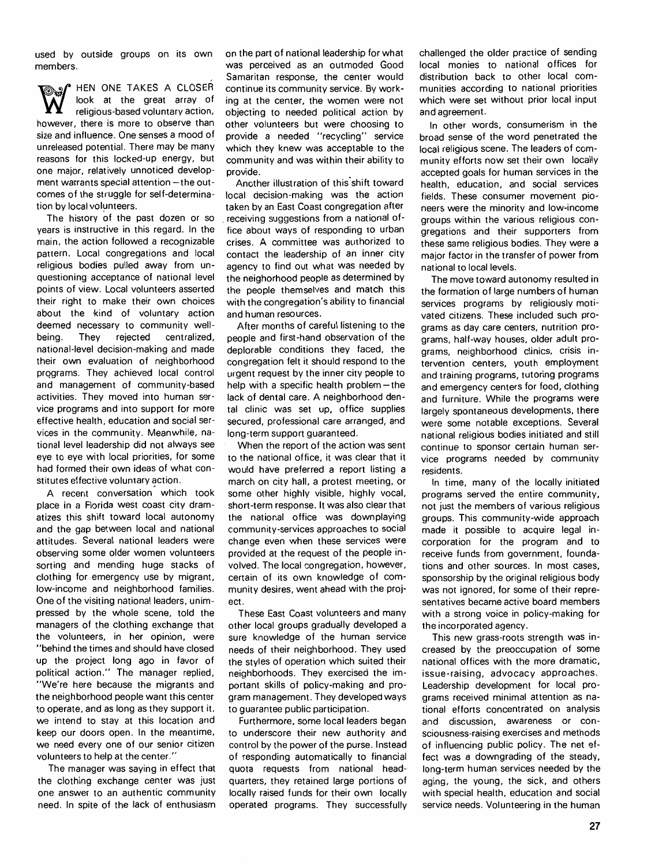used by outside groups on its own members.

**HEN ONE TAKES A CLOSER** look at the great array of religious-based voluntary action, however, there is more to observe than size and influence. One senses a mood of unreleased potential. There may be many reasons for this locked-up energy, but one major, relatively unnoticed development warrants special attention  $-$  the outcomes of the struggle for self-determination by local volunteers.

The history of the past dozen or so years is instructive in this regard. In the main, the action followed a recognizable pattern. Local congregations and local religious bodies pulled away from unquestioning acceptance of national level points of view. Local volunteers asserted their right to make their own choices about the kind of voluntary action deemed necessary to community wellbeing. They rejected centralized, national-level decision-making and made their own evaluation of neighborhood programs. They achieved local control and management of community-based activities. They moved into human service programs and into support for more effective health, education and social services in the community. Meanwhile, national level leadership did not always see eye to eye with local priorities, for some had formed their own ideas of what constitutes effective voluntary action.

A recent conversation which took place in a Florida west coast city dramatizes this shift toward local autonomy and the gap between local and national attitudes. Several national leaders were observing some older women volunteers sorting and mending huge stacks of clothing for emergency use by migrant, low-income and neighborhood families. One of the visiting national leaders, unimpressed by the whole scene, told the managers of the clothing exchange that the volunteers, in her opinion, were "behind the times and should have closed up the project long ago in favor of political action." The manager replied, "We're here because the migrants and the neighborhood people want this center to operate, and as long as they support it, we intend to stay at this location and keep our doors open. In the meantime, we need every one of our senior citizen volunteers to help at the center."

The manager was saying in effect that the clothing exchange center was just one answer to an authentic community need. In spite of the lack of enthusiasm on the part of national leadership for what was perceived as an outmoded Good Samaritan response, the center would continue its community service. By working at the center, the women were not objecting to needed political action by other volunteers but were choosing to provide a needed "recycling" service which they knew was acceptable to the community and was within their ability to provide.

Another illustration of this shift toward local decision-making was the action taken by an East Coast congregation after . receiving suggestions from a national office about ways of responding to urban crises. A committee was authorized to contact the leadership of an inner city agency to find out what was needed by the neighorhood people as determined by the people themselves and match this with the congregation's ability to financial and human resources.

After months of careful listening to the people and first-hand observation of the deplorable conditions they faced, the congregation felt it should respond to the urgent request by the inner city people to help with a specific health problem $-$ the lack of dental care. A neighborhood dental clinic was set up, office supplies secured, professional care arranged, and long-term support guaranteed.

When the report of the action was sent to the national office, it was clear that it would have preferred a report listing a march on city hall, a protest meeting, or some other highly visible, highly vocal, short-term response. It was also clear that the national office was downplaying community-services approaches to social change even when these services were provided at the request of the people involved. The local congregation, however, certain of its own knowledge of community desires, went ahead with the project.

These East Coast volunteers and many other local groups gradually developed a sure knowledge of the human service needs of their neighborhood. They used the styles of operation which suited their neighborhoods. They exercised the important skills of policy-making and program management. They developed ways to guarantee public participation.

Furthermore, some local leaders began to underscore their new authority and control by the power of the purse. Instead of responding automatically to financial quota requests from national headquarters, they retained large portions of locally raised funds for their own locally operated programs. They successfully challenged the older practice of sending local monies to national offices for distribution back to other local communities according to national priorities which were set without prior local input and agreement.

In other words, consumerism in the broad sense of the word penetrated the local religious scene. The leaders of community efforts now set their own locally accepted goals for human services in the health, education, and social services fields. These consumer movement pioneers were the minority and low-income groups within the various religious congregations and their supporters from these same religious bodies. They were a major factor in the transfer of power from national to local levels.

The move toward autonomy resulted in the formation of large numbers of human services programs by religiously motivated citizens. These included such programs as day care centers, nutrition programs, half-way houses, older adult programs, neighborhood clinics, crisis intervention centers, youth employment and training programs, tutoring programs and emergency centers for food, clothing and furniture. While the programs were largely spontaneous developments, there were some notable exceptions. Several national religious bodies initiated and still continue to sponsor certain human service programs needed by community residents.

In time, many of the locally initiated programs served the entire community, not just the members of various religious groups. This community-wide approach made it possible to acquire legal incorporation for the program and to receive funds from government, foundations and other sources. In most cases, sponsorship by the original religious body was not ignored, for some of their representatives became active board members with a strong voice in policy-making for the incorporated agency.

This new grass-roots strength was increased by the preoccupation of some national offices with the more dramatic, issue-raising, advocacy approaches. Leadership development for local programs received minimal attention as national efforts concentrated on analysis and discussion, awareness or consciousness-raising exercises and methods of influencing public policy. The net effect was a downgrading of the steady, long-term human services needed by the aging, the young, the sick, and others with special health, education and social service needs. Volunteering in the human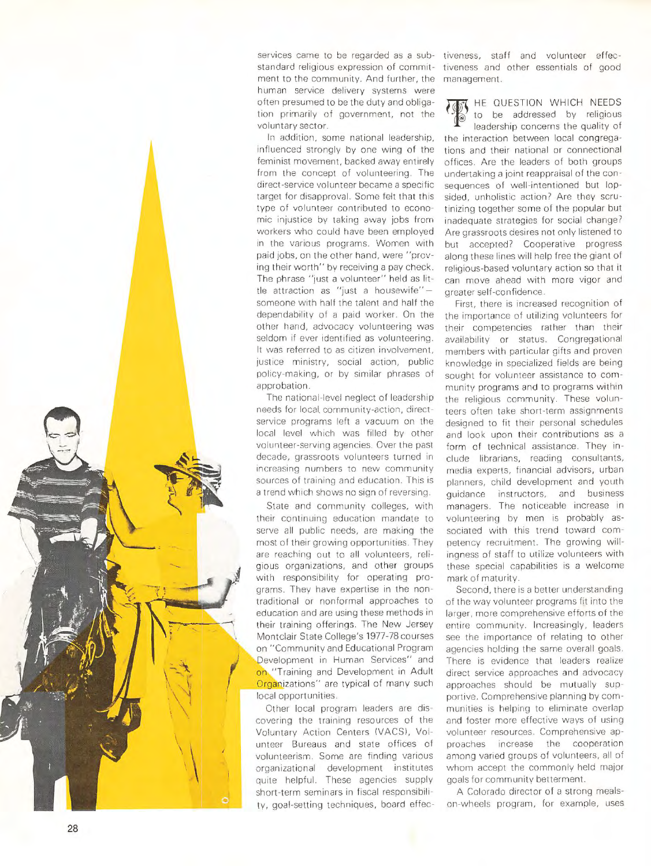

In addition, some national leadership, influenced strongly by one wing of the feminist movement, backed away entirely from the concept of volunteering. The direct-service volunteer became a specific target for disapproval. Some felt that this type of volunteer contributed to economic injustice by taking away jobs from workers who could have been employed in the various programs. Women with paid jobs, on the other hand, were "proving their worth" by receiving a pay check. The phrase "just a volunteer" held as little attraction as "just a housewife" someone with half the talent and half the dependability of a paid worker. On the other hand, advocacy volunteering was seldom if ever identified as volunteering. It was referred to as citizen involvement. justice ministry, social action, public policy-making, or by similar phrases of approbation.

The national-level neglect of leadership needs for local. community-action, directservice programs left a vacuum on the local level which was filled by other volunteer-serving agencies. Over the past decade, grassroots volunteers turned in increasing numbers to new community sources of training and education. This is a trend which shows no sign of reversing.

 $\mathbb{R}$  / State and community colleges, with their continuing education mandate to serve all public needs, are making the most of their growing opportunities. They are reaching out to all volunteers, religious organizations, and other groups with responsibility for operating programs. They have expertise in the nontraditional or nonformal approaches to education and are using these methods in their training offerings. The New Jersey Montclair State College's 1977-78 courses on "Community and Educational Program Development in Human Services" and on "Training and Development in Adult Organizations" are typical of many such local opportunities.

 $-1$  ...

 $\frac{1}{\sqrt{2}}$ 

 $\setminus$ 

 $\mathcal{N}$ 

Other local program leaders are discovering the training resources of the Voluntary Action Centers (VACS), Volunteer Bureaus and state offices of volunteerism. Some are finding various organizational development institutes quite helpful. These agencies supply short-term seminars in fiscal responsibility, goal-setting techniques, board effec-

tiveness, staff and volunteer effectiveness and other essentials of good management.

**K** HE QUESTION WHICH NEEDS to be addressed by religious leadership concerns the quality of the interaction between local congregations and their national or connectional offices. Are the leaders of both groups undertaking a joint reappraisal of the consequences of well-intentioned but lopsided, unholistic action? Are they scrutinizing together some of the popular but inadequate strategies for social change? Are grassroots desires not only listened to but accepted? Cooperative progress along these lines will help free the giant of religious-based voluntary action so that it can move ahead with more vigor and greater self-confidence.

First, there is increased recognition of the importance of utilizing volunteers for their competencies rather than their availability or status. Congregational members with particular gifts and proven knowledge in specialized fields are being sought for volunteer assistance to community programs and to programs within the religious community. These volunteers often take short-term assignments designed to fit their personal schedules and look upon their contributions as a form of technical assistance. They include librarians, reading consultants, media experts, financial advisors, urban planners, child development and youth guidance instructors, and business managers. The noticeable increase in volunteering by men is probably associated with this trend toward com· petency recruitment. The growing will· ingness of staff to utilize volunteers with these special capabilities is a welcome mark of maturity.

Second, there is a better understanding of the way volunteer programs fit into the larger, more comprehensive efforts of the entire community. Increasingly, leaders see the importance of relating to other agencies holding the same overall goals. There is evidence that leaders realize direct service approaches and advocacy approaches should be mutually supportive. Comprehensive planning by com· munities is helping to eliminate overlap and foster more effective ways of using volunteer resources. Comprehensive approaches increase the cooperation among varied groups of volunteers, all of whom accept the commonly held major goals for community betterment.

A Colorado director of a strong mealson-wheels program, for example, uses